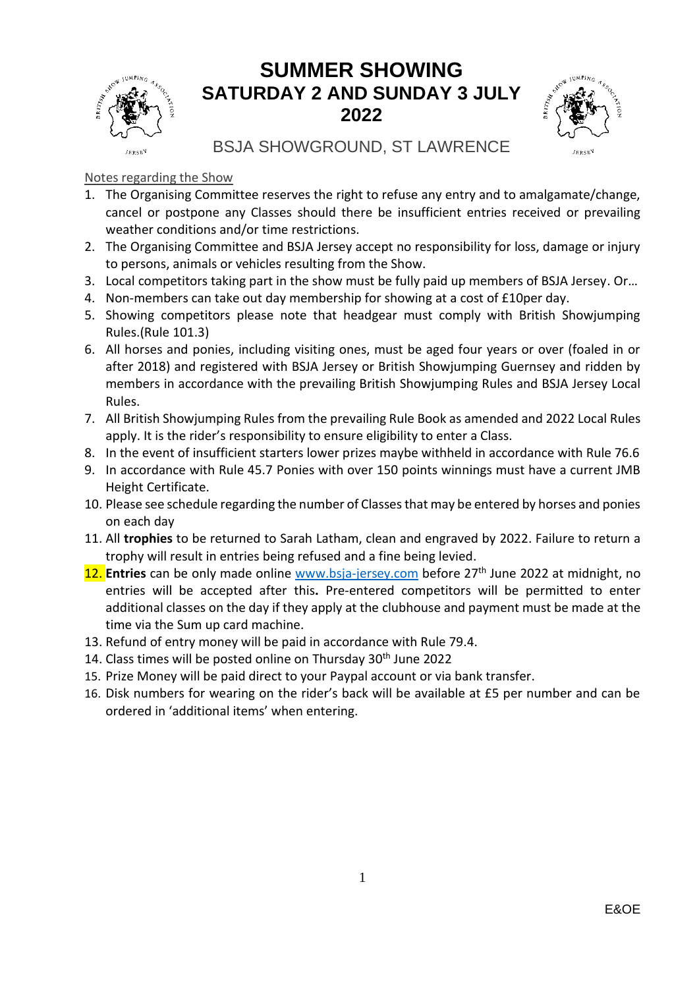

### **SUMMER SHOWING SATURDAY 2 AND SUNDAY 3 JULY 2022**



BSJA SHOWGROUND, ST LAWRENCE

#### Notes regarding the Show

- 1. The Organising Committee reserves the right to refuse any entry and to amalgamate/change, cancel or postpone any Classes should there be insufficient entries received or prevailing weather conditions and/or time restrictions.
- 2. The Organising Committee and BSJA Jersey accept no responsibility for loss, damage or injury to persons, animals or vehicles resulting from the Show.
- 3. Local competitors taking part in the show must be fully paid up members of BSJA Jersey. Or…
- 4. Non-members can take out day membership for showing at a cost of £10per day.
- 5. Showing competitors please note that headgear must comply with British Showjumping Rules.(Rule 101.3)
- 6. All horses and ponies, including visiting ones, must be aged four years or over (foaled in or after 2018) and registered with BSJA Jersey or British Showjumping Guernsey and ridden by members in accordance with the prevailing British Showjumping Rules and BSJA Jersey Local Rules.
- 7. All British Showjumping Rules from the prevailing Rule Book as amended and 2022 Local Rules apply. It is the rider's responsibility to ensure eligibility to enter a Class.
- 8. In the event of insufficient starters lower prizes maybe withheld in accordance with Rule 76.6
- 9. In accordance with Rule 45.7 Ponies with over 150 points winnings must have a current JMB Height Certificate.
- 10. Please see schedule regarding the number of Classes that may be entered by horses and ponies on each day
- 11. All **trophies** to be returned to Sarah Latham, clean and engraved by 2022. Failure to return a trophy will result in entries being refused and a fine being levied.
- 12. **Entries** can be only made online [www.bsja-jersey.com](http://www.bsja-jersey.com/) before 27th June 2022 at midnight, no entries will be accepted after this**.** Pre-entered competitors will be permitted to enter additional classes on the day if they apply at the clubhouse and payment must be made at the time via the Sum up card machine.
- 13. Refund of entry money will be paid in accordance with Rule 79.4.
- 14. Class times will be posted online on Thursday  $30<sup>th</sup>$  June 2022
- 15. Prize Money will be paid direct to your Paypal account or via bank transfer.
- 16. Disk numbers for wearing on the rider's back will be available at £5 per number and can be ordered in 'additional items' when entering.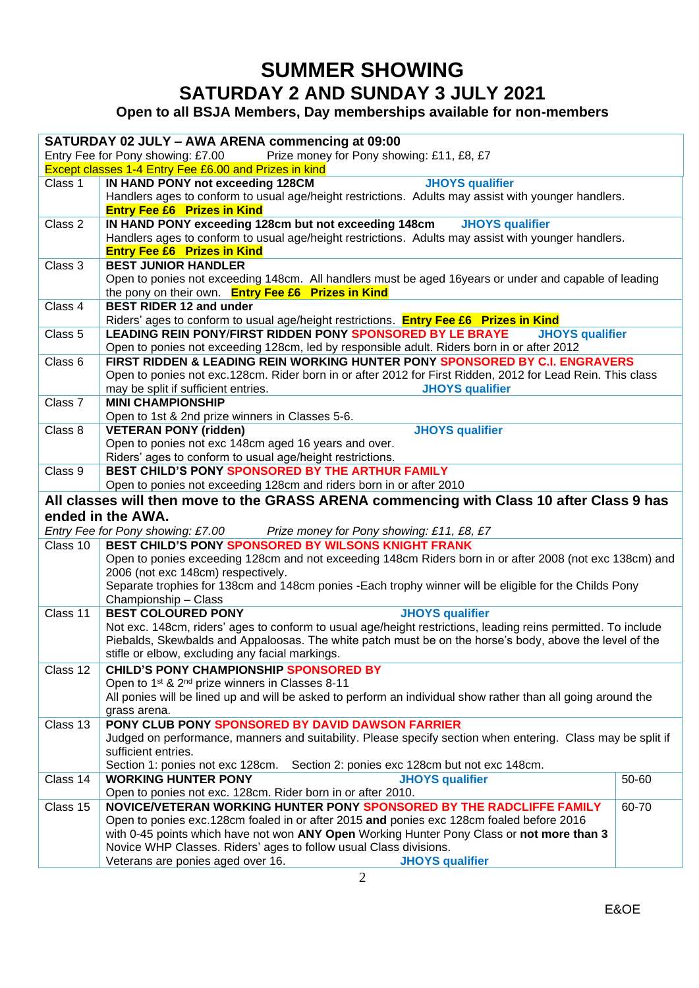## **SUMMER SHOWING SATURDAY 2 AND SUNDAY 3 JULY 2021**

**Open to all BSJA Members, Day memberships available for non-members**

| SATURDAY 02 JULY - AWA ARENA commencing at 09:00                               |                                                                                                                                  |       |  |  |
|--------------------------------------------------------------------------------|----------------------------------------------------------------------------------------------------------------------------------|-------|--|--|
| Entry Fee for Pony showing: £7.00<br>Prize money for Pony showing: £11, £8, £7 |                                                                                                                                  |       |  |  |
|                                                                                | Except classes 1-4 Entry Fee £6.00 and Prizes in kind                                                                            |       |  |  |
| Class 1                                                                        | <b>JHOYS</b> qualifier<br>IN HAND PONY not exceeding 128CM                                                                       |       |  |  |
|                                                                                | Handlers ages to conform to usual age/height restrictions. Adults may assist with younger handlers.                              |       |  |  |
|                                                                                | <b>Entry Fee £6 Prizes in Kind</b>                                                                                               |       |  |  |
| Class 2                                                                        | IN HAND PONY exceeding 128cm but not exceeding 148cm<br><b>JHOYS</b> qualifier                                                   |       |  |  |
|                                                                                | Handlers ages to conform to usual age/height restrictions. Adults may assist with younger handlers.                              |       |  |  |
|                                                                                | <b>Entry Fee £6 Prizes in Kind</b>                                                                                               |       |  |  |
| Class 3                                                                        | <b>BEST JUNIOR HANDLER</b>                                                                                                       |       |  |  |
|                                                                                | Open to ponies not exceeding 148cm. All handlers must be aged 16years or under and capable of leading                            |       |  |  |
|                                                                                | the pony on their own. Entry Fee £6 Prizes in Kind                                                                               |       |  |  |
| Class 4                                                                        | <b>BEST RIDER 12 and under</b>                                                                                                   |       |  |  |
|                                                                                | Riders' ages to conform to usual age/height restrictions. <b>Entry Fee £6 Prizes in Kind</b>                                     |       |  |  |
| Class 5                                                                        | LEADING REIN PONY/FIRST RIDDEN PONY SPONSORED BY LE BRAYE<br><b>JHOYS</b> qualifier                                              |       |  |  |
|                                                                                | Open to ponies not exceeding 128cm, led by responsible adult. Riders born in or after 2012                                       |       |  |  |
| Class 6                                                                        | FIRST RIDDEN & LEADING REIN WORKING HUNTER PONY SPONSORED BY C.I. ENGRAVERS                                                      |       |  |  |
|                                                                                | Open to ponies not exc.128cm. Rider born in or after 2012 for First Ridden, 2012 for Lead Rein. This class                       |       |  |  |
|                                                                                | <b>JHOYS</b> qualifier<br>may be split if sufficient entries.                                                                    |       |  |  |
| Class 7                                                                        | <b>MINI CHAMPIONSHIP</b>                                                                                                         |       |  |  |
|                                                                                | Open to 1st & 2nd prize winners in Classes 5-6.                                                                                  |       |  |  |
| Class 8                                                                        | <b>JHOYS</b> qualifier<br><b>VETERAN PONY (ridden)</b>                                                                           |       |  |  |
|                                                                                | Open to ponies not exc 148cm aged 16 years and over.                                                                             |       |  |  |
|                                                                                | Riders' ages to conform to usual age/height restrictions.                                                                        |       |  |  |
| Class 9                                                                        | BEST CHILD'S PONY SPONSORED BY THE ARTHUR FAMILY                                                                                 |       |  |  |
|                                                                                | Open to ponies not exceeding 128cm and riders born in or after 2010                                                              |       |  |  |
|                                                                                |                                                                                                                                  |       |  |  |
|                                                                                |                                                                                                                                  |       |  |  |
|                                                                                | All classes will then move to the GRASS ARENA commencing with Class 10 after Class 9 has                                         |       |  |  |
|                                                                                | ended in the AWA.                                                                                                                |       |  |  |
|                                                                                | Entry Fee for Pony showing: £7.00 Prize money for Pony showing: £11, £8, £7                                                      |       |  |  |
| Class 10                                                                       | BEST CHILD'S PONY SPONSORED BY WILSONS KNIGHT FRANK                                                                              |       |  |  |
|                                                                                | Open to ponies exceeding 128cm and not exceeding 148cm Riders born in or after 2008 (not exc 138cm) and                          |       |  |  |
|                                                                                | 2006 (not exc 148cm) respectively.                                                                                               |       |  |  |
|                                                                                | Separate trophies for 138cm and 148cm ponies - Each trophy winner will be eligible for the Childs Pony                           |       |  |  |
|                                                                                | Championship - Class                                                                                                             |       |  |  |
| Class 11                                                                       | <b>BEST COLOURED PONY</b><br><b>JHOYS</b> qualifier                                                                              |       |  |  |
|                                                                                | Not exc. 148cm, riders' ages to conform to usual age/height restrictions, leading reins permitted. To include                    |       |  |  |
|                                                                                | Piebalds, Skewbalds and Appaloosas. The white patch must be on the horse's body, above the level of the                          |       |  |  |
|                                                                                | stifle or elbow, excluding any facial markings.                                                                                  |       |  |  |
| Class 12                                                                       | <b>CHILD'S PONY CHAMPIONSHIP SPONSORED BY</b>                                                                                    |       |  |  |
|                                                                                | Open to 1 <sup>st</sup> & 2 <sup>nd</sup> prize winners in Classes 8-11                                                          |       |  |  |
|                                                                                | All ponies will be lined up and will be asked to perform an individual show rather than all going around the                     |       |  |  |
|                                                                                | grass arena.                                                                                                                     |       |  |  |
| Class 13                                                                       | PONY CLUB PONY SPONSORED BY DAVID DAWSON FARRIER                                                                                 |       |  |  |
|                                                                                | Judged on performance, manners and suitability. Please specify section when entering. Class may be split if                      |       |  |  |
|                                                                                | sufficient entries.                                                                                                              |       |  |  |
|                                                                                | Section 1: ponies not exc 128cm. Section 2: ponies exc 128cm but not exc 148cm.                                                  |       |  |  |
| Class 14                                                                       | <b>WORKING HUNTER PONY</b><br><b>JHOYS qualifier</b>                                                                             | 50-60 |  |  |
|                                                                                | Open to ponies not exc. 128cm. Rider born in or after 2010.                                                                      |       |  |  |
| Class 15                                                                       | NOVICE/VETERAN WORKING HUNTER PONY SPONSORED BY THE RADCLIFFE FAMILY                                                             | 60-70 |  |  |
|                                                                                | Open to ponies exc.128cm foaled in or after 2015 and ponies exc 128cm foaled before 2016                                         |       |  |  |
|                                                                                | with 0-45 points which have not won ANY Open Working Hunter Pony Class or not more than 3                                        |       |  |  |
|                                                                                | Novice WHP Classes. Riders' ages to follow usual Class divisions.<br>Veterans are ponies aged over 16.<br><b>JHOYS</b> qualifier |       |  |  |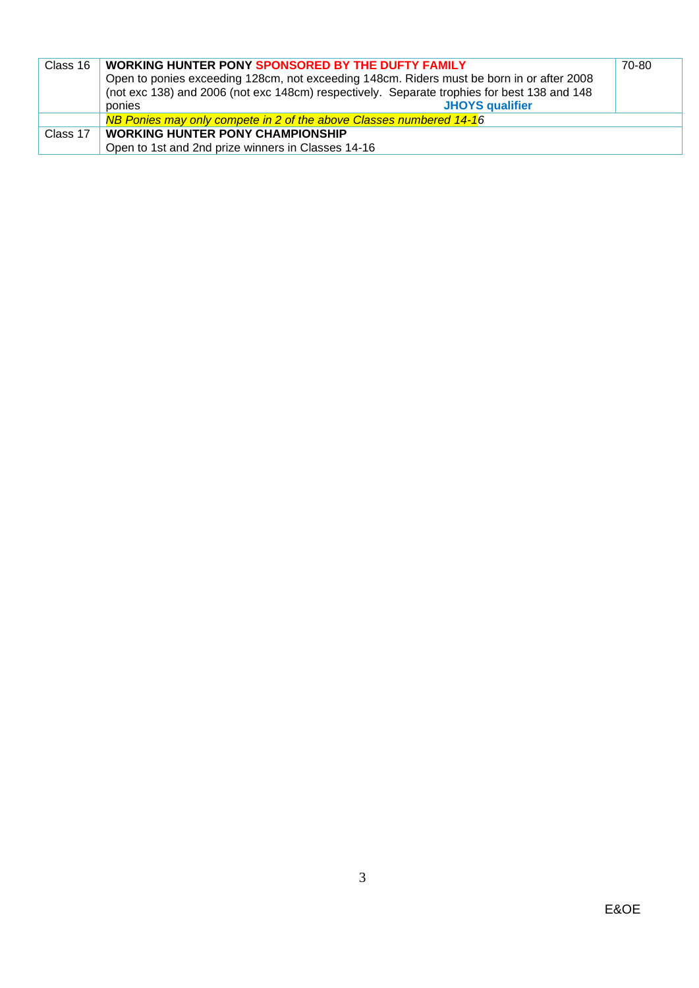| Class 16 | <b>WORKING HUNTER PONY SPONSORED BY THE DUFTY FAMILY</b>                                    | 70-80 |
|----------|---------------------------------------------------------------------------------------------|-------|
|          | Open to ponies exceeding 128cm, not exceeding 148cm. Riders must be born in or after 2008   |       |
|          | (not exc 138) and 2006 (not exc 148cm) respectively. Separate trophies for best 138 and 148 |       |
|          | <b>JHOYS</b> qualifier<br>ponies                                                            |       |
|          | NB Ponies may only compete in 2 of the above Classes numbered 14-16                         |       |
| Class 17 | <b>WORKING HUNTER PONY CHAMPIONSHIP</b>                                                     |       |
|          | Open to 1st and 2nd prize winners in Classes 14-16                                          |       |